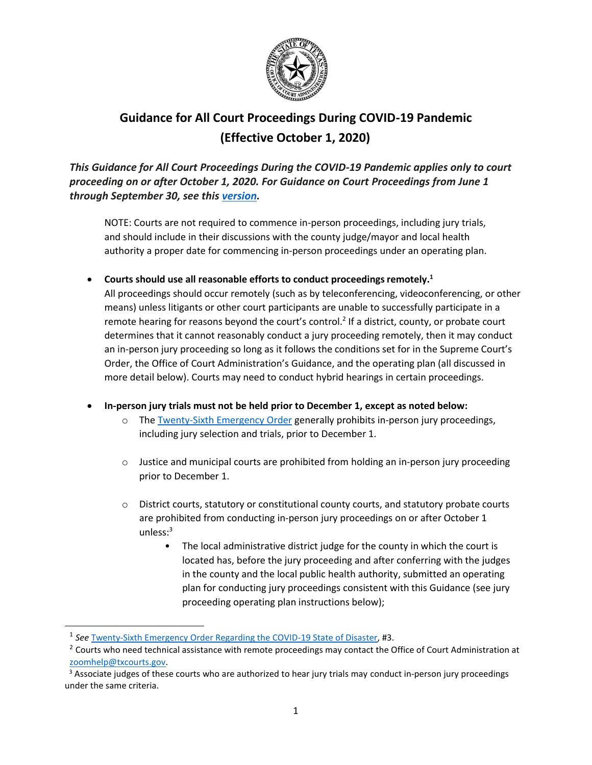

# **Guidance for All Court Proceedings During COVID-19 Pandemic (Effective October 1, 2020)**

*This Guidance for All Court Proceedings During the COVID-19 Pandemic applies only to court proceeding on or after October 1, 2020. For Guidance on Court Proceedings from June 1 through September 30, see this [version.](https://txcourts.gov/media/1447076/guidance-for-all-court-proceedings-during-covid-19-pandemic.pdf)* 

NOTE: Courts are not required to commence in-person proceedings, including jury trials, and should include in their discussions with the county judge/mayor and local health authority a proper date for commencing in-person proceedings under an operating plan.

**•** Courts should use all reasonable efforts to conduct proceedings remotely.<sup>1</sup>

All proceedings should occur remotely (such as by teleconferencing, videoconferencing, or other means) unless litigants or other court participants are unable to successfully participate in a remote hearing for reasons beyond the court's control.<sup>2</sup> If a district, county, or probate court determines that it cannot reasonably conduct a jury proceeding remotely, then it may conduct an in-person jury proceeding so long as it follows the conditions set for in the Supreme Court's Order, the Office of Court Administration's Guidance, and the operating plan (all discussed in more detail below). Courts may need to conduct hybrid hearings in certain proceedings.

- **In-person jury trials must not be held prior to December 1, except as noted below:**
	- o The Twenty-Sixth [Emergency Order](https://www.txcourts.gov/media/1449738/209112.pdf) generally prohibits in-person jury proceedings, including jury selection and trials, prior to December 1.
	- $\circ$  Justice and municipal courts are prohibited from holding an in-person jury proceeding prior to December 1.
	- o District courts, statutory or constitutional county courts, and statutory probate courts are prohibited from conducting in-person jury proceedings on or after October 1 unless: 3
		- The local administrative district judge for the county in which the court is located has, before the jury proceeding and after conferring with the judges in the county and the local public health authority, submitted an operating plan for conducting jury proceedings consistent with this Guidance (see jury proceeding operating plan instructions below);

<sup>1</sup> *See* Twenty-Sixth [Emergency Order Regarding the COVID-19 State of Disaster, #](https://www.txcourts.gov/media/1449738/209112.pdf)3.

<sup>&</sup>lt;sup>2</sup> Courts who need technical assistance with remote proceedings may contact the Office of Court Administration at [zoomhelp@txcourts.gov.](mailto:zoomhelp@txcourts.gov)

<sup>&</sup>lt;sup>3</sup> Associate judges of these courts who are authorized to hear jury trials may conduct in-person jury proceedings under the same criteria.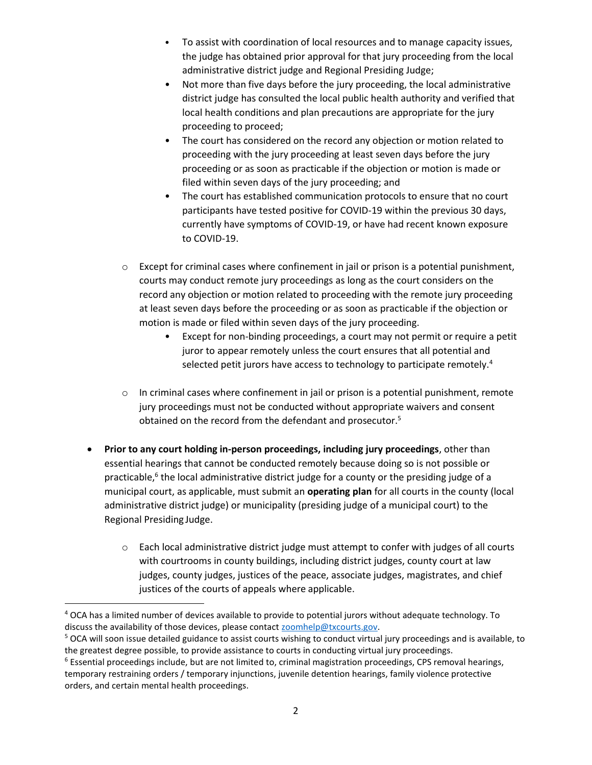- To assist with coordination of local resources and to manage capacity issues, the judge has obtained prior approval for that jury proceeding from the local administrative district judge and Regional Presiding Judge;
- Not more than five days before the jury proceeding, the local administrative district judge has consulted the local public health authority and verified that local health conditions and plan precautions are appropriate for the jury proceeding to proceed;
- The court has considered on the record any objection or motion related to proceeding with the jury proceeding at least seven days before the jury proceeding or as soon as practicable if the objection or motion is made or filed within seven days of the jury proceeding; and
- The court has established communication protocols to ensure that no court participants have tested positive for COVID-19 within the previous 30 days, currently have symptoms of COVID-19, or have had recent known exposure to COVID-19.
- $\circ$  Except for criminal cases where confinement in jail or prison is a potential punishment, courts may conduct remote jury proceedings as long as the court considers on the record any objection or motion related to proceeding with the remote jury proceeding at least seven days before the proceeding or as soon as practicable if the objection or motion is made or filed within seven days of the jury proceeding.
	- Except for non-binding proceedings, a court may not permit or require a petit juror to appear remotely unless the court ensures that all potential and selected petit jurors have access to technology to participate remotely.<sup>4</sup>
- $\circ$  In criminal cases where confinement in jail or prison is a potential punishment, remote jury proceedings must not be conducted without appropriate waivers and consent obtained on the record from the defendant and prosecutor.<sup>5</sup>
- **Prior to any court holding in-person proceedings, including jury proceedings**, other than essential hearings that cannot be conducted remotely because doing so is not possible or practicable,<sup>6</sup> the local administrative district judge for a county or the presiding judge of a municipal court, as applicable, must submit an **operating plan** for all courts in the county (local administrative district judge) or municipality (presiding judge of a municipal court) to the Regional Presiding Judge.
	- o Each local administrative district judge must attempt to confer with judges of all courts with courtrooms in county buildings, including district judges, county court at law judges, county judges, justices of the peace, associate judges, magistrates, and chief justices of the courts of appeals where applicable.

<sup>4</sup> OCA has a limited number of devices available to provide to potential jurors without adequate technology. To discuss the availability of those devices, please contact [zoomhelp@txcourts.gov.](mailto:zoomhelp@txcourts.gov)

<sup>&</sup>lt;sup>5</sup> OCA will soon issue detailed guidance to assist courts wishing to conduct virtual jury proceedings and is available, to the greatest degree possible, to provide assistance to courts in conducting virtual jury proceedings.

<sup>6</sup> Essential proceedings include, but are not limited to, criminal magistration proceedings, CPS removal hearings, temporary restraining orders / temporary injunctions, juvenile detention hearings, family violence protective orders, and certain mental health proceedings.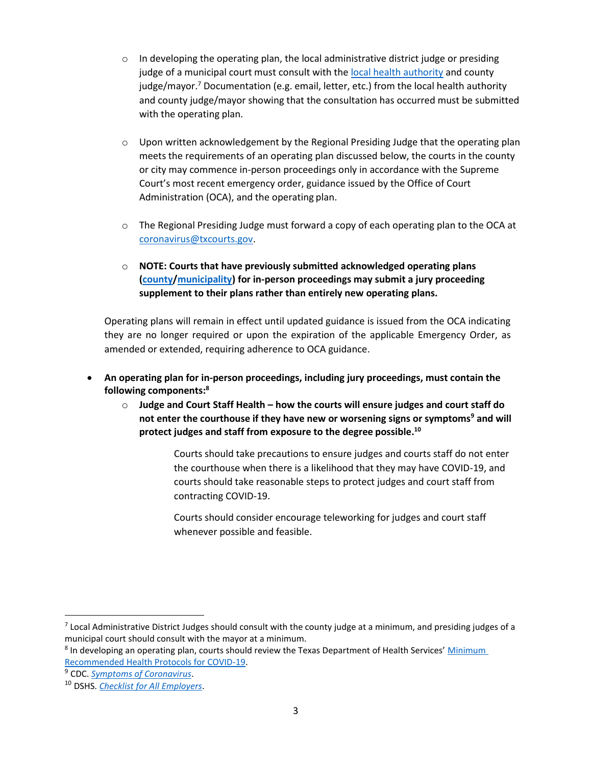- $\circ$  In developing the operating plan, the local administrative district judge or presiding judge of a municipal court must consult with the [local health authority](https://www.dshs.state.tx.us/rls/lha/Department-of-State-Health-Services-Appointed-Health-Authority.aspx) and county judge/mayor.<sup>7</sup> Documentation (e.g. email, letter, etc.) from the local health authority and county judge/mayor showing that the consultation has occurred must be submitted with the operating plan.
- $\circ$  Upon written acknowledgement by the Regional Presiding Judge that the operating plan meets the requirements of an operating plan discussed below, the courts in the county or city may commence in-person proceedings only in accordance with the Supreme Court's most recent emergency order, guidance issued by the Office of Court Administration (OCA), and the operating plan.
- $\circ$  The Regional Presiding Judge must forward a copy of each operating plan to the OCA at [coronavirus@txcourts.gov.](mailto:coronavirus@txcourts.gov)
- o **NOTE: Courts that have previously submitted acknowledged operating plans [\(county](https://www.dropbox.com/sh/8k065da6v5som2d/AAB7-SXM_Fr-4JzbLPfl_79oa)[/municipality\)](https://www.dropbox.com/home/Municipal%20COVID-19%20Operating%20Plans) for in-person proceedings may submit a jury proceeding supplement to their plans rather than entirely new operating plans.**

Operating plans will remain in effect until updated guidance is issued from the OCA indicating they are no longer required or upon the expiration of the applicable Emergency Order, as amended or extended, requiring adherence to OCA guidance.

- **An operating plan for in-person proceedings, including jury proceedings, must contain the following components:<sup>8</sup>**
	- o **Judge and Court Staff Health – how the courts will ensure judges and court staff do not enter the courthouse if they have new or worsening signs or symptoms<sup>9</sup> and will protect judges and staff from exposure to the degree possible. 10**

Courts should take precautions to ensure judges and courts staff do not enter the courthouse when there is a likelihood that they may have COVID-19, and courts should take reasonable steps to protect judges and court staff from contracting COVID-19.

Courts should consider encourage teleworking for judges and court staff whenever possible and feasible.

 $^7$  Local Administrative District Judges should consult with the county judge at a minimum, and presiding judges of a municipal court should consult with the mayor at a minimum.

<sup>&</sup>lt;sup>8</sup> In developing an operating plan, courts should review the Texas Department of Health Services' Minimum Recommended [Health Protocols for COVID-19.](https://dshs.texas.gov/coronavirus/opentexas.aspx#protocols)

<sup>9</sup> CDC. *[Symptoms of Coronavirus](https://www.cdc.gov/coronavirus/2019-ncov/symptoms-testing/symptoms.html)*.

<sup>10</sup> DSHS. *[Checklist for All Employers](https://dshs.texas.gov/coronavirus/docs/opentx/june/AllEmployers.pdf)*.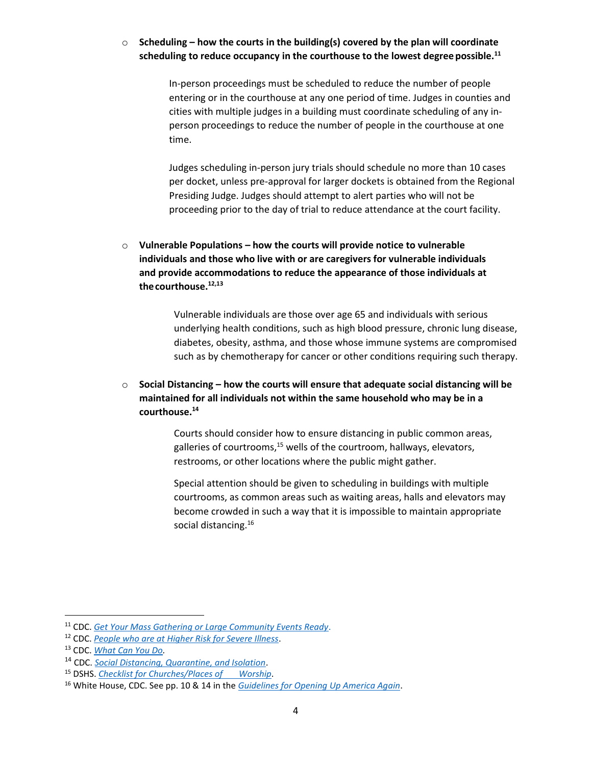# o **Scheduling – how the courts in the building(s) covered by the plan will coordinate scheduling to reduce occupancy in the courthouse to the lowest degree possible.<sup>11</sup>**

In-person proceedings must be scheduled to reduce the number of people entering or in the courthouse at any one period of time. Judges in counties and cities with multiple judges in a building must coordinate scheduling of any inperson proceedings to reduce the number of people in the courthouse at one time.

Judges scheduling in-person jury trials should schedule no more than 10 cases per docket, unless pre-approval for larger dockets is obtained from the Regional Presiding Judge. Judges should attempt to alert parties who will not be proceeding prior to the day of trial to reduce attendance at the court facility.

o **Vulnerable Populations – how the courts will provide notice to vulnerable individuals and those who live with or are caregivers for vulnerable individuals and provide accommodations to reduce the appearance of those individuals at thecourthouse. 12,13**

> Vulnerable individuals are those over age 65 and individuals with serious underlying health conditions, such as high blood pressure, chronic lung disease, diabetes, obesity, asthma, and those whose immune systems are compromised such as by chemotherapy for cancer or other conditions requiring such therapy.

o **Social Distancing – how the courts will ensure that adequate social distancing will be maintained for all individuals not within the same household who may be in a courthouse. 14**

> Courts should consider how to ensure distancing in public common areas, galleries of courtrooms, $15$  wells of the courtroom, hallways, elevators, restrooms, or other locations where the public might gather.

Special attention should be given to scheduling in buildings with multiple courtrooms, as common areas such as waiting areas, halls and elevators may become crowded in such a way that it is impossible to maintain appropriate social distancing.<sup>16</sup>

<sup>11</sup> CDC. *[Get Your Mass Gathering or Large Community Events Ready](https://www.cdc.gov/coronavirus/2019-ncov/community/large-events/considerations-for-events-gatherings.html?CDC_AA_refVal=https%3A%2F%2Fwww.cdc.gov%2Fcoronavirus%2F2019-ncov%2Fcommunity%2Flarge-events%2Fmass-gatherings-ready-for-covid-19.html)*.

<sup>12</sup> CDC. *[People who are at Higher Risk for Severe Illness](https://www.cdc.gov/coronavirus/2019-ncov/need-extra-precautions/people-at-higher-risk.html)*.

<sup>13</sup> CDC. *[What Can You Do.](https://www.cdc.gov/coronavirus/2019-ncov/need-extra-precautions/what-you-can-do.html)*

<sup>14</sup> CDC. *[Social Distancing, Quarantine, and Isolation](https://www.cdc.gov/coronavirus/2019-ncov/prevent-getting-sick/social-distancing.html)*.

<sup>15</sup> DSHS. *[Checklist for Churches/Places of Worship](https://dshs.texas.gov/coronavirus/docs/opentx/ChurchesPlacesofWorship.pdf)*.

<sup>16</sup> White House, CDC. See pp. 10 & 14 in the *[Guidelines for Opening Up America Again](https://www.whitehouse.gov/wp-content/uploads/2020/04/Guidelines-for-Opening-Up-America-Again.pdf)*.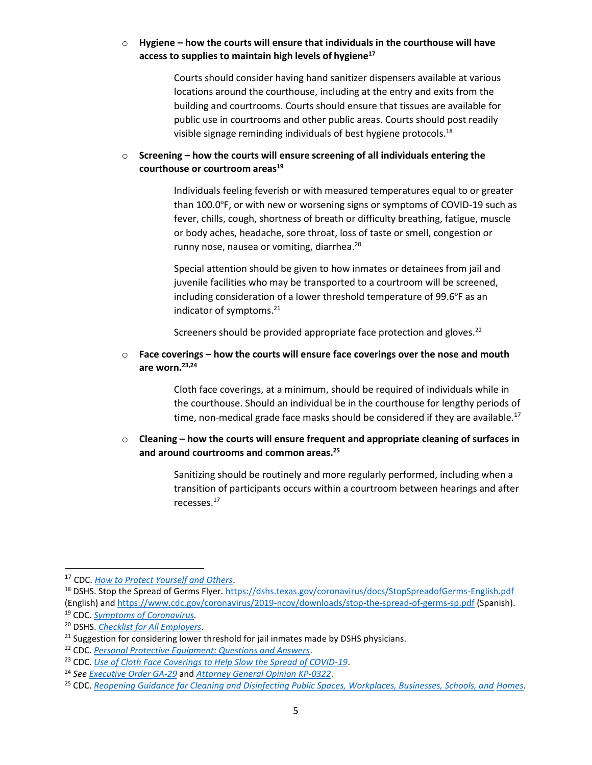# o **Hygiene – how the courts will ensure that individuals in the courthouse will have access to supplies to maintain high levels of hygiene<sup>17</sup>**

Courts should consider having hand sanitizer dispensers available at various locations around the courthouse, including at the entry and exits from the building and courtrooms. Courts should ensure that tissues are available for public use in courtrooms and other public areas. Courts should post readily visible signage reminding individuals of best hygiene protocols.<sup>18</sup>

# <span id="page-4-0"></span>o **Screening – how the courts will ensure screening of all individuals entering the courthouse or courtroom areas<sup>19</sup>**

Individuals feeling feverish or with measured temperatures equal to or greater than 100.0ºF, or with new or worsening signs or symptoms of COVID-19 such as fever, chills, cough, shortness of breath or difficulty breathing, fatigue, muscle or body aches, headache, sore throat, loss of taste or smell, congestion or runny nose, nausea or vomiting, diarrhea. 20

Special attention should be given to how inmates or detainees from jail and juvenile facilities who may be transported to a courtroom will be screened, including consideration of a lower threshold temperature of 99.6ºF as an indicator of symptoms.<sup>21</sup>

Screeners should be provided appropriate face protection and gloves.<sup>22</sup>

## o **Face coverings – how the courts will ensure face coverings over the nose and mouth are worn.23,24**

Cloth face coverings, at a minimum, should be required of individuals while in the courthouse. Should an individual be in the courthouse for lengthy periods of time, non-medical grade face masks should be considered if they are available.<sup>[17](#page-4-0)</sup>

## o **Cleaning – how the courts will ensure frequent and appropriate cleaning of surfaces in and around courtrooms and common areas.<sup>25</sup>**

Sanitizing should be routinely and more regularly performed, including when a transition of participants occurs within a courtroom between hearings and after recesse[s.](#page-4-0) 17

<sup>17</sup> CDC. *[How to Protect Yourself and Others](https://www.cdc.gov/coronavirus/2019-ncov/prevent-getting-sick/prevention.html)*.

<sup>18</sup> DSHS. Stop the Spread of Germs Flyer.<https://dshs.texas.gov/coronavirus/docs/StopSpreadofGerms-English.pdf> (English) an[d https://www.cdc.gov/coronavirus/2019-ncov/downloads/stop-the-spread-of-germs-sp.pdf](https://www.cdc.gov/coronavirus/2019-ncov/downloads/stop-the-spread-of-germs-sp.pdf) (Spanish). <sup>19</sup> CDC. *[Symptoms of Coronavirus.](https://www.cdc.gov/coronavirus/2019-ncov/symptoms-testing/symptoms.html)*

<sup>20</sup> DSHS. *[Checklist for All Employers](https://dshs.texas.gov/coronavirus/docs/opentx/june/AllEmployers.pdf)*.

 $21$  Suggestion for considering lower threshold for jail inmates made by DSHS physicians.

<sup>22</sup> CDC. *[Personal Protective Equipment: Questions and Answers](https://www.cdc.gov/coronavirus/2019-ncov/hcp/respirator-use-faq.html)*.

<sup>23</sup> CDC. *[Use of Cloth Face Coverings to Help Slow the Spread of COVID-19](https://www.cdc.gov/coronavirus/2019-ncov/prevent-getting-sick/diy-cloth-face-coverings.html)*.

<sup>24</sup> *See [Executive Order GA-29](https://lrl.texas.gov/scanned/govdocs/Greg%20Abbott/2020/GA-29.pdf)* and *[Attorney General Opinion KP-0322](https://www.texasattorneygeneral.gov/sites/default/files/opinion-files/opinion/2020/kp-0322.pdf)*.

<sup>25</sup> CDC. *[Reopening Guidance for Cleaning and Disinfecting Public Spaces, Workplaces, Businesses, Schools, and](https://www.cdc.gov/coronavirus/2019-ncov/community/reopen-guidance.html) [Homes](https://www.cdc.gov/coronavirus/2019-ncov/community/reopen-guidance.html)*.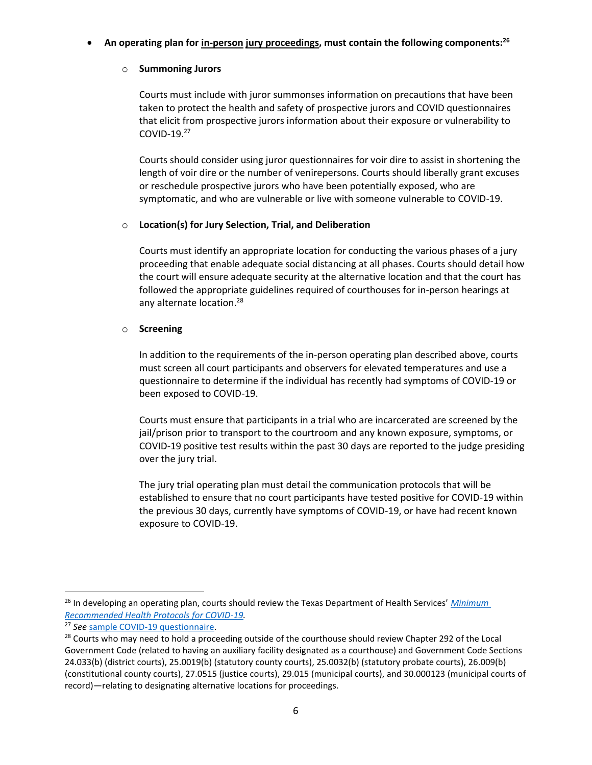## • **An operating plan for in-person jury proceedings, must contain the following components:<sup>26</sup>**

# o **Summoning Jurors**

Courts must include with juror summonses information on precautions that have been taken to protect the health and safety of prospective jurors and COVID questionnaires that elicit from prospective jurors information about their exposure or vulnerability to COVID-19.<sup>27</sup>

Courts should consider using juror questionnaires for voir dire to assist in shortening the length of voir dire or the number of venirepersons. Courts should liberally grant excuses or reschedule prospective jurors who have been potentially exposed, who are symptomatic, and who are vulnerable or live with someone vulnerable to COVID-19.

# o **Location(s) for Jury Selection, Trial, and Deliberation**

Courts must identify an appropriate location for conducting the various phases of a jury proceeding that enable adequate social distancing at all phases. Courts should detail how the court will ensure adequate security at the alternative location and that the court has followed the appropriate guidelines required of courthouses for in-person hearings at any alternate location.<sup>28</sup>

# o **Screening**

In addition to the requirements of the in-person operating plan described above, courts must screen all court participants and observers for elevated temperatures and use a questionnaire to determine if the individual has recently had symptoms of COVID-19 or been exposed to COVID-19.

Courts must ensure that participants in a trial who are incarcerated are screened by the jail/prison prior to transport to the courtroom and any known exposure, symptoms, or COVID-19 positive test results within the past 30 days are reported to the judge presiding over the jury trial.

The jury trial operating plan must detail the communication protocols that will be established to ensure that no court participants have tested positive for COVID-19 within the previous 30 days, currently have symptoms of COVID-19, or have had recent known exposure to COVID-19.

<sup>26</sup> In developing an operating plan, courts should review the Texas Department of Health Services' *[Minimum](https://dshs.texas.gov/coronavirus/opentexas.aspx#protocols)  [Recommended Health Protocols for COVID-19.](https://dshs.texas.gov/coronavirus/opentexas.aspx#protocols)*

<sup>27</sup> *See* [sample COVID-19 questionnaire.](https://txcourts.gov/media/1449739/petit-juror-questionnaire-addendum-covid-19-pre-screening.pdf)

<sup>&</sup>lt;sup>28</sup> Courts who may need to hold a proceeding outside of the courthouse should review Chapter 292 of the Local Government Code (related to having an auxiliary facility designated as a courthouse) and Government Code Sections 24.033(b) (district courts), 25.0019(b) (statutory county courts), 25.0032(b) (statutory probate courts), 26.009(b) (constitutional county courts), 27.0515 (justice courts), 29.015 (municipal courts), and 30.000123 (municipal courts of record)—relating to designating alternative locations for proceedings.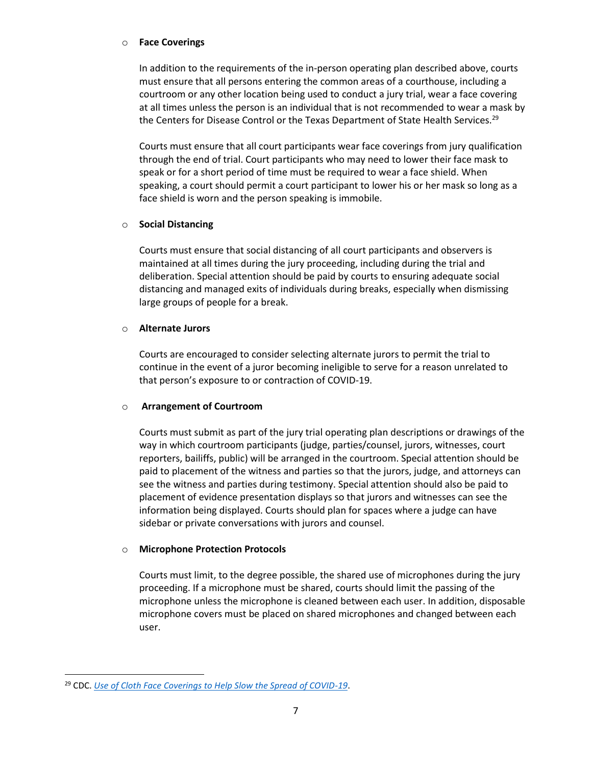#### o **Face Coverings**

In addition to the requirements of the in-person operating plan described above, courts must ensure that all persons entering the common areas of a courthouse, including a courtroom or any other location being used to conduct a jury trial, wear a face covering at all times unless the person is an individual that is not recommended to wear a mask by the Centers for Disease Control or the Texas Department of State Health Services.<sup>29</sup>

Courts must ensure that all court participants wear face coverings from jury qualification through the end of trial. Court participants who may need to lower their face mask to speak or for a short period of time must be required to wear a face shield. When speaking, a court should permit a court participant to lower his or her mask so long as a face shield is worn and the person speaking is immobile.

## o **Social Distancing**

Courts must ensure that social distancing of all court participants and observers is maintained at all times during the jury proceeding, including during the trial and deliberation. Special attention should be paid by courts to ensuring adequate social distancing and managed exits of individuals during breaks, especially when dismissing large groups of people for a break.

#### o **Alternate Jurors**

Courts are encouraged to consider selecting alternate jurors to permit the trial to continue in the event of a juror becoming ineligible to serve for a reason unrelated to that person's exposure to or contraction of COVID-19.

## o **Arrangement of Courtroom**

Courts must submit as part of the jury trial operating plan descriptions or drawings of the way in which courtroom participants (judge, parties/counsel, jurors, witnesses, court reporters, bailiffs, public) will be arranged in the courtroom. Special attention should be paid to placement of the witness and parties so that the jurors, judge, and attorneys can see the witness and parties during testimony. Special attention should also be paid to placement of evidence presentation displays so that jurors and witnesses can see the information being displayed. Courts should plan for spaces where a judge can have sidebar or private conversations with jurors and counsel.

## o **Microphone Protection Protocols**

Courts must limit, to the degree possible, the shared use of microphones during the jury proceeding. If a microphone must be shared, courts should limit the passing of the microphone unless the microphone is cleaned between each user. In addition, disposable microphone covers must be placed on shared microphones and changed between each user.

<sup>&</sup>lt;sup>29</sup> CDC. *[Use of Cloth Face Coverings to Help Slow the Spread of COVID-19](https://www.cdc.gov/coronavirus/2019-ncov/prevent-getting-sick/diy-cloth-face-coverings.html)*.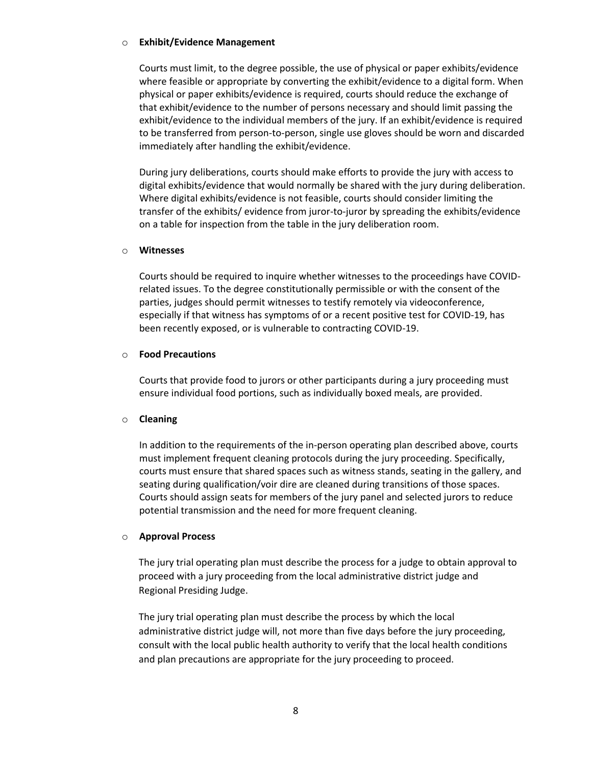#### o **Exhibit/Evidence Management**

Courts must limit, to the degree possible, the use of physical or paper exhibits/evidence where feasible or appropriate by converting the exhibit/evidence to a digital form. When physical or paper exhibits/evidence is required, courts should reduce the exchange of that exhibit/evidence to the number of persons necessary and should limit passing the exhibit/evidence to the individual members of the jury. If an exhibit/evidence is required to be transferred from person-to-person, single use gloves should be worn and discarded immediately after handling the exhibit/evidence.

During jury deliberations, courts should make efforts to provide the jury with access to digital exhibits/evidence that would normally be shared with the jury during deliberation. Where digital exhibits/evidence is not feasible, courts should consider limiting the transfer of the exhibits/ evidence from juror-to-juror by spreading the exhibits/evidence on a table for inspection from the table in the jury deliberation room.

#### o **Witnesses**

Courts should be required to inquire whether witnesses to the proceedings have COVIDrelated issues. To the degree constitutionally permissible or with the consent of the parties, judges should permit witnesses to testify remotely via videoconference, especially if that witness has symptoms of or a recent positive test for COVID-19, has been recently exposed, or is vulnerable to contracting COVID-19.

#### o **Food Precautions**

Courts that provide food to jurors or other participants during a jury proceeding must ensure individual food portions, such as individually boxed meals, are provided.

## o **Cleaning**

In addition to the requirements of the in-person operating plan described above, courts must implement frequent cleaning protocols during the jury proceeding. Specifically, courts must ensure that shared spaces such as witness stands, seating in the gallery, and seating during qualification/voir dire are cleaned during transitions of those spaces. Courts should assign seats for members of the jury panel and selected jurors to reduce potential transmission and the need for more frequent cleaning.

## o **Approval Process**

The jury trial operating plan must describe the process for a judge to obtain approval to proceed with a jury proceeding from the local administrative district judge and Regional Presiding Judge.

The jury trial operating plan must describe the process by which the local administrative district judge will, not more than five days before the jury proceeding, consult with the local public health authority to verify that the local health conditions and plan precautions are appropriate for the jury proceeding to proceed.